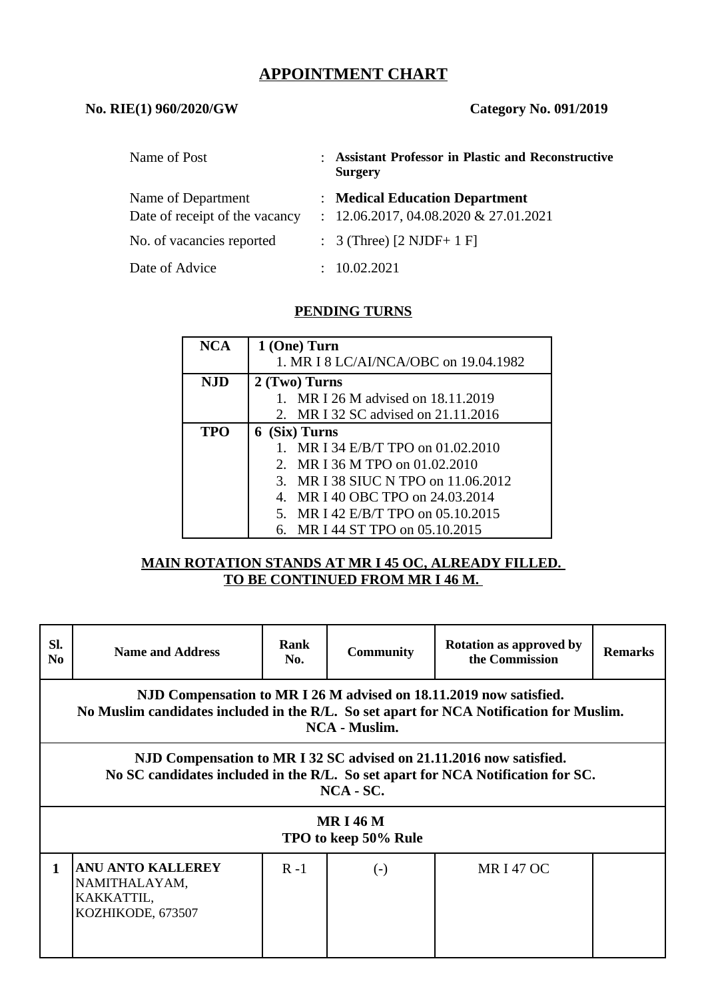# **APPOINTMENT CHART**

### **No. RIE(1) 960/2020/GW Category No. 091/2019**

| Name of Post                   | : Assistant Professor in Plastic and Reconstructive<br><b>Surgery</b> |
|--------------------------------|-----------------------------------------------------------------------|
| Name of Department             | : Medical Education Department                                        |
| Date of receipt of the vacancy | $: 12.06.2017, 04.08.2020 \& 27.01.2021$                              |
| No. of vacancies reported      | : $3$ (Three) $[2 \text{ NJDF} + 1 \text{ F}]$                        |
| Date of Advice                 | : 10.02.2021                                                          |

# **PENDING TURNS**

| <b>NCA</b> | 1 (One) Turn                          |  |  |  |  |
|------------|---------------------------------------|--|--|--|--|
|            | 1. MR I 8 LC/AI/NCA/OBC on 19.04.1982 |  |  |  |  |
| <b>NJD</b> | 2 (Two) Turns                         |  |  |  |  |
|            | 1. MR I 26 M advised on 18.11.2019    |  |  |  |  |
|            | 2. MR I 32 SC advised on 21.11.2016   |  |  |  |  |
| <b>TPO</b> | 6 (Six) Turns                         |  |  |  |  |
|            | 1. MR I 34 E/B/T TPO on 01.02.2010    |  |  |  |  |
|            | 2. MR I 36 M TPO on 01.02.2010        |  |  |  |  |
|            | 3. MR I 38 SIUC N TPO on 11.06.2012   |  |  |  |  |
|            | MR I 40 OBC TPO on 24.03.2014<br>4.   |  |  |  |  |
|            | 5. MR I 42 E/B/T TPO on 05.10.2015    |  |  |  |  |
|            | 6. MR I 44 ST TPO on 05.10.2015       |  |  |  |  |

#### **MAIN ROTATION STANDS AT MR I 45 OC, ALREADY FILLED. TO BE CONTINUED FROM MR I 46 M.**

| SI.<br>N <sub>0</sub>                                                                                                                                                                 | <b>Name and Address</b>                                                      | <b>Rank</b><br>No. | <b>Community</b> | <b>Rotation as approved by</b><br>the Commission | <b>Remarks</b> |  |  |  |  |
|---------------------------------------------------------------------------------------------------------------------------------------------------------------------------------------|------------------------------------------------------------------------------|--------------------|------------------|--------------------------------------------------|----------------|--|--|--|--|
| NJD Compensation to MR I 26 M advised on 18.11.2019 now satisfied.<br>No Muslim candidates included in the R/L. So set apart for NCA Notification for Muslim.<br><b>NCA - Muslim.</b> |                                                                              |                    |                  |                                                  |                |  |  |  |  |
| NJD Compensation to MR I 32 SC advised on 21.11.2016 now satisfied.<br>No SC candidates included in the R/L. So set apart for NCA Notification for SC.<br>$NCA - SC.$                 |                                                                              |                    |                  |                                                  |                |  |  |  |  |
| <b>MRI46M</b><br>TPO to keep 50% Rule                                                                                                                                                 |                                                                              |                    |                  |                                                  |                |  |  |  |  |
| 1                                                                                                                                                                                     | <b>ANU ANTO KALLEREY</b><br>NAMITHALAYAM,<br>KAKKATTIL,<br>KOZHIKODE, 673507 | $R - 1$            | $(-)$            | <b>MRI470C</b>                                   |                |  |  |  |  |